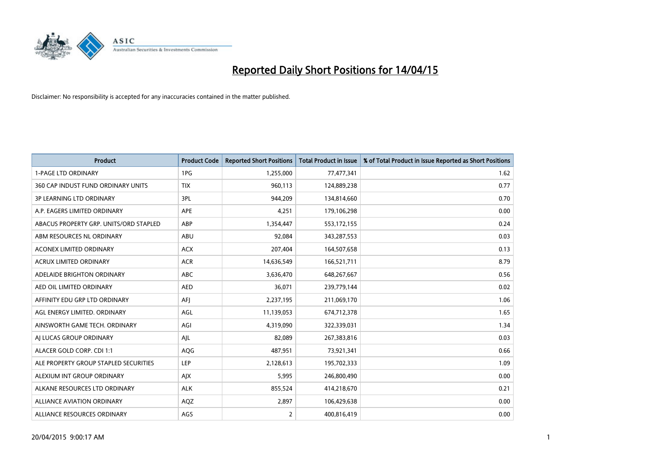

| <b>Product</b>                         | <b>Product Code</b> | <b>Reported Short Positions</b> | <b>Total Product in Issue</b> | % of Total Product in Issue Reported as Short Positions |
|----------------------------------------|---------------------|---------------------------------|-------------------------------|---------------------------------------------------------|
| <b>1-PAGE LTD ORDINARY</b>             | 1PG                 | 1,255,000                       | 77,477,341                    | 1.62                                                    |
| 360 CAP INDUST FUND ORDINARY UNITS     | <b>TIX</b>          | 960,113                         | 124,889,238                   | 0.77                                                    |
| <b>3P LEARNING LTD ORDINARY</b>        | 3PL                 | 944,209                         | 134,814,660                   | 0.70                                                    |
| A.P. EAGERS LIMITED ORDINARY           | <b>APE</b>          | 4,251                           | 179,106,298                   | 0.00                                                    |
| ABACUS PROPERTY GRP. UNITS/ORD STAPLED | ABP                 | 1,354,447                       | 553,172,155                   | 0.24                                                    |
| ABM RESOURCES NL ORDINARY              | ABU                 | 92,084                          | 343,287,553                   | 0.03                                                    |
| <b>ACONEX LIMITED ORDINARY</b>         | <b>ACX</b>          | 207,404                         | 164,507,658                   | 0.13                                                    |
| ACRUX LIMITED ORDINARY                 | <b>ACR</b>          | 14,636,549                      | 166,521,711                   | 8.79                                                    |
| ADELAIDE BRIGHTON ORDINARY             | <b>ABC</b>          | 3,636,470                       | 648,267,667                   | 0.56                                                    |
| AED OIL LIMITED ORDINARY               | <b>AED</b>          | 36,071                          | 239,779,144                   | 0.02                                                    |
| AFFINITY EDU GRP LTD ORDINARY          | AFI                 | 2,237,195                       | 211,069,170                   | 1.06                                                    |
| AGL ENERGY LIMITED. ORDINARY           | AGL                 | 11,139,053                      | 674,712,378                   | 1.65                                                    |
| AINSWORTH GAME TECH. ORDINARY          | AGI                 | 4,319,090                       | 322,339,031                   | 1.34                                                    |
| AI LUCAS GROUP ORDINARY                | AJL                 | 82,089                          | 267,383,816                   | 0.03                                                    |
| ALACER GOLD CORP. CDI 1:1              | AQG                 | 487,951                         | 73,921,341                    | 0.66                                                    |
| ALE PROPERTY GROUP STAPLED SECURITIES  | LEP                 | 2,128,613                       | 195,702,333                   | 1.09                                                    |
| ALEXIUM INT GROUP ORDINARY             | AJX                 | 5,995                           | 246,800,490                   | 0.00                                                    |
| ALKANE RESOURCES LTD ORDINARY          | <b>ALK</b>          | 855,524                         | 414,218,670                   | 0.21                                                    |
| ALLIANCE AVIATION ORDINARY             | AQZ                 | 2,897                           | 106,429,638                   | 0.00                                                    |
| ALLIANCE RESOURCES ORDINARY            | AGS                 | $\overline{2}$                  | 400,816,419                   | 0.00                                                    |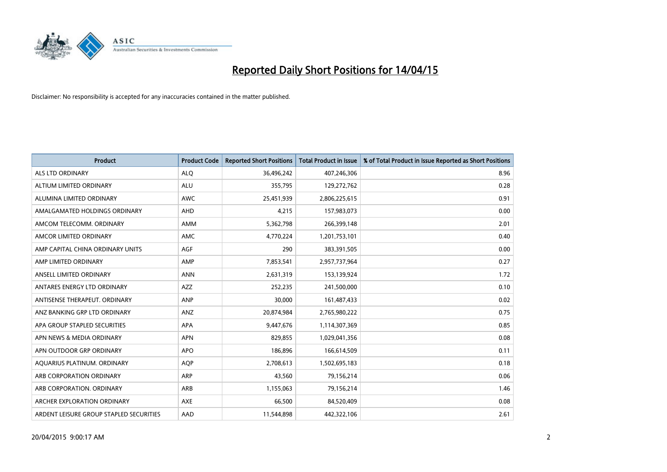

| <b>Product</b>                          | <b>Product Code</b> | <b>Reported Short Positions</b> | <b>Total Product in Issue</b> | % of Total Product in Issue Reported as Short Positions |
|-----------------------------------------|---------------------|---------------------------------|-------------------------------|---------------------------------------------------------|
| <b>ALS LTD ORDINARY</b>                 | <b>ALQ</b>          | 36,496,242                      | 407,246,306                   | 8.96                                                    |
| ALTIUM LIMITED ORDINARY                 | <b>ALU</b>          | 355,795                         | 129,272,762                   | 0.28                                                    |
| ALUMINA LIMITED ORDINARY                | <b>AWC</b>          | 25,451,939                      | 2,806,225,615                 | 0.91                                                    |
| AMALGAMATED HOLDINGS ORDINARY           | <b>AHD</b>          | 4,215                           | 157,983,073                   | 0.00                                                    |
| AMCOM TELECOMM, ORDINARY                | <b>AMM</b>          | 5,362,798                       | 266,399,148                   | 2.01                                                    |
| AMCOR LIMITED ORDINARY                  | <b>AMC</b>          | 4,770,224                       | 1,201,753,101                 | 0.40                                                    |
| AMP CAPITAL CHINA ORDINARY UNITS        | AGF                 | 290                             | 383,391,505                   | 0.00                                                    |
| AMP LIMITED ORDINARY                    | AMP                 | 7,853,541                       | 2,957,737,964                 | 0.27                                                    |
| ANSELL LIMITED ORDINARY                 | <b>ANN</b>          | 2,631,319                       | 153,139,924                   | 1.72                                                    |
| ANTARES ENERGY LTD ORDINARY             | <b>AZZ</b>          | 252,235                         | 241,500,000                   | 0.10                                                    |
| ANTISENSE THERAPEUT. ORDINARY           | <b>ANP</b>          | 30,000                          | 161,487,433                   | 0.02                                                    |
| ANZ BANKING GRP LTD ORDINARY            | ANZ                 | 20,874,984                      | 2,765,980,222                 | 0.75                                                    |
| APA GROUP STAPLED SECURITIES            | APA                 | 9,447,676                       | 1,114,307,369                 | 0.85                                                    |
| APN NEWS & MEDIA ORDINARY               | <b>APN</b>          | 829,855                         | 1,029,041,356                 | 0.08                                                    |
| APN OUTDOOR GRP ORDINARY                | <b>APO</b>          | 186,896                         | 166,614,509                   | 0.11                                                    |
| AQUARIUS PLATINUM. ORDINARY             | <b>AOP</b>          | 2,708,613                       | 1,502,695,183                 | 0.18                                                    |
| ARB CORPORATION ORDINARY                | ARP                 | 43,560                          | 79,156,214                    | 0.06                                                    |
| ARB CORPORATION. ORDINARY               | ARB                 | 1,155,063                       | 79,156,214                    | 1.46                                                    |
| ARCHER EXPLORATION ORDINARY             | <b>AXE</b>          | 66,500                          | 84,520,409                    | 0.08                                                    |
| ARDENT LEISURE GROUP STAPLED SECURITIES | AAD                 | 11,544,898                      | 442,322,106                   | 2.61                                                    |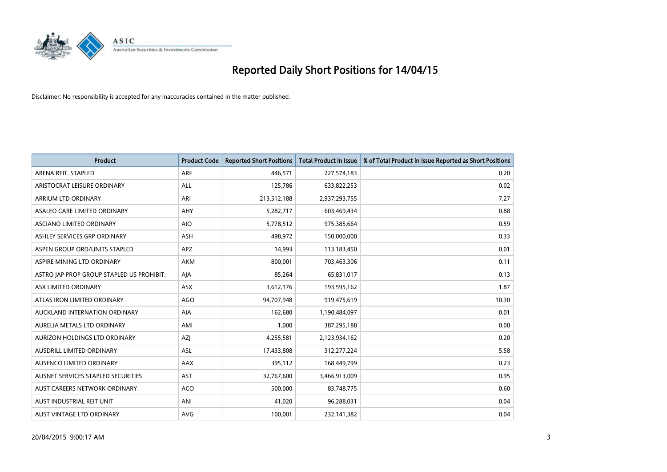

| <b>Product</b>                            | <b>Product Code</b> | <b>Reported Short Positions</b> | <b>Total Product in Issue</b> | % of Total Product in Issue Reported as Short Positions |
|-------------------------------------------|---------------------|---------------------------------|-------------------------------|---------------------------------------------------------|
| ARENA REIT. STAPLED                       | <b>ARF</b>          | 446,571                         | 227,574,183                   | 0.20                                                    |
| ARISTOCRAT LEISURE ORDINARY               | ALL                 | 125,786                         | 633,822,253                   | 0.02                                                    |
| ARRIUM LTD ORDINARY                       | ARI                 | 213,512,188                     | 2,937,293,755                 | 7.27                                                    |
| ASALEO CARE LIMITED ORDINARY              | AHY                 | 5,282,717                       | 603,469,434                   | 0.88                                                    |
| ASCIANO LIMITED ORDINARY                  | <b>AIO</b>          | 5,778,512                       | 975,385,664                   | 0.59                                                    |
| ASHLEY SERVICES GRP ORDINARY              | ASH                 | 498,972                         | 150,000,000                   | 0.33                                                    |
| ASPEN GROUP ORD/UNITS STAPLED             | <b>APZ</b>          | 14,993                          | 113,183,450                   | 0.01                                                    |
| ASPIRE MINING LTD ORDINARY                | AKM                 | 800,001                         | 703,463,306                   | 0.11                                                    |
| ASTRO JAP PROP GROUP STAPLED US PROHIBIT. | AJA                 | 85,264                          | 65,831,017                    | 0.13                                                    |
| ASX LIMITED ORDINARY                      | ASX                 | 3,612,176                       | 193,595,162                   | 1.87                                                    |
| ATLAS IRON LIMITED ORDINARY               | <b>AGO</b>          | 94,707,948                      | 919,475,619                   | 10.30                                                   |
| AUCKLAND INTERNATION ORDINARY             | <b>AIA</b>          | 162,680                         | 1,190,484,097                 | 0.01                                                    |
| AURELIA METALS LTD ORDINARY               | AMI                 | 1,000                           | 387,295,188                   | 0.00                                                    |
| AURIZON HOLDINGS LTD ORDINARY             | AZJ                 | 4,255,581                       | 2,123,934,162                 | 0.20                                                    |
| <b>AUSDRILL LIMITED ORDINARY</b>          | ASL                 | 17,433,808                      | 312,277,224                   | 5.58                                                    |
| AUSENCO LIMITED ORDINARY                  | AAX                 | 395,112                         | 168,449,799                   | 0.23                                                    |
| AUSNET SERVICES STAPLED SECURITIES        | AST                 | 32,767,600                      | 3,466,913,009                 | 0.95                                                    |
| AUST CAREERS NETWORK ORDINARY             | <b>ACO</b>          | 500,000                         | 83,748,775                    | 0.60                                                    |
| AUST INDUSTRIAL REIT UNIT                 | ANI                 | 41,020                          | 96,288,031                    | 0.04                                                    |
| <b>AUST VINTAGE LTD ORDINARY</b>          | <b>AVG</b>          | 100,001                         | 232,141,382                   | 0.04                                                    |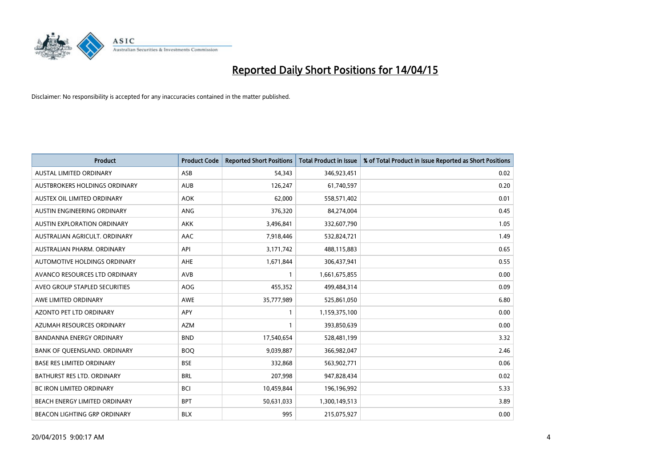

| <b>Product</b>                      | <b>Product Code</b> | <b>Reported Short Positions</b> | <b>Total Product in Issue</b> | % of Total Product in Issue Reported as Short Positions |
|-------------------------------------|---------------------|---------------------------------|-------------------------------|---------------------------------------------------------|
| <b>AUSTAL LIMITED ORDINARY</b>      | ASB                 | 54,343                          | 346,923,451                   | 0.02                                                    |
| AUSTBROKERS HOLDINGS ORDINARY       | <b>AUB</b>          | 126,247                         | 61,740,597                    | 0.20                                                    |
| AUSTEX OIL LIMITED ORDINARY         | <b>AOK</b>          | 62,000                          | 558,571,402                   | 0.01                                                    |
| AUSTIN ENGINEERING ORDINARY         | ANG                 | 376,320                         | 84,274,004                    | 0.45                                                    |
| <b>AUSTIN EXPLORATION ORDINARY</b>  | <b>AKK</b>          | 3,496,841                       | 332,607,790                   | 1.05                                                    |
| AUSTRALIAN AGRICULT, ORDINARY       | AAC                 | 7,918,446                       | 532,824,721                   | 1.49                                                    |
| AUSTRALIAN PHARM. ORDINARY          | API                 | 3,171,742                       | 488,115,883                   | 0.65                                                    |
| AUTOMOTIVE HOLDINGS ORDINARY        | AHE                 | 1,671,844                       | 306,437,941                   | 0.55                                                    |
| AVANCO RESOURCES LTD ORDINARY       | AVB                 | 1                               | 1,661,675,855                 | 0.00                                                    |
| AVEO GROUP STAPLED SECURITIES       | <b>AOG</b>          | 455,352                         | 499,484,314                   | 0.09                                                    |
| AWE LIMITED ORDINARY                | <b>AWE</b>          | 35,777,989                      | 525,861,050                   | 6.80                                                    |
| AZONTO PET LTD ORDINARY             | APY                 | 1                               | 1,159,375,100                 | 0.00                                                    |
| AZUMAH RESOURCES ORDINARY           | <b>AZM</b>          | $\mathbf{1}$                    | 393,850,639                   | 0.00                                                    |
| <b>BANDANNA ENERGY ORDINARY</b>     | <b>BND</b>          | 17,540,654                      | 528,481,199                   | 3.32                                                    |
| BANK OF QUEENSLAND. ORDINARY        | <b>BOQ</b>          | 9,039,887                       | 366,982,047                   | 2.46                                                    |
| <b>BASE RES LIMITED ORDINARY</b>    | <b>BSE</b>          | 332,868                         | 563,902,771                   | 0.06                                                    |
| BATHURST RES LTD. ORDINARY          | <b>BRL</b>          | 207,998                         | 947,828,434                   | 0.02                                                    |
| BC IRON LIMITED ORDINARY            | <b>BCI</b>          | 10,459,844                      | 196,196,992                   | 5.33                                                    |
| BEACH ENERGY LIMITED ORDINARY       | <b>BPT</b>          | 50,631,033                      | 1,300,149,513                 | 3.89                                                    |
| <b>BEACON LIGHTING GRP ORDINARY</b> | <b>BLX</b>          | 995                             | 215,075,927                   | 0.00                                                    |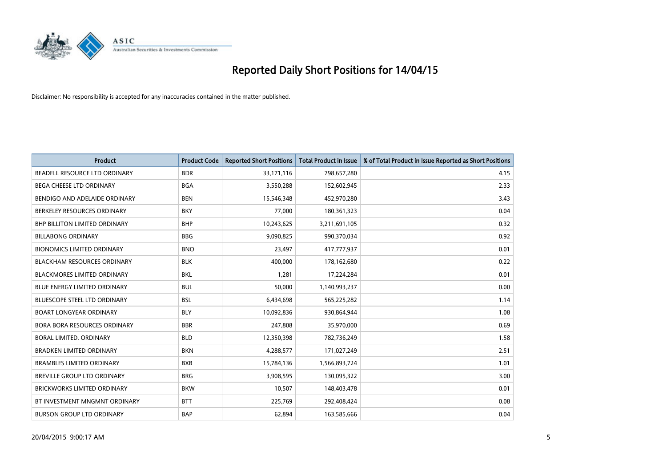

| <b>Product</b>                       | <b>Product Code</b> | <b>Reported Short Positions</b> | <b>Total Product in Issue</b> | % of Total Product in Issue Reported as Short Positions |
|--------------------------------------|---------------------|---------------------------------|-------------------------------|---------------------------------------------------------|
| <b>BEADELL RESOURCE LTD ORDINARY</b> | <b>BDR</b>          | 33,171,116                      | 798,657,280                   | 4.15                                                    |
| BEGA CHEESE LTD ORDINARY             | <b>BGA</b>          | 3,550,288                       | 152,602,945                   | 2.33                                                    |
| BENDIGO AND ADELAIDE ORDINARY        | <b>BEN</b>          | 15,546,348                      | 452,970,280                   | 3.43                                                    |
| BERKELEY RESOURCES ORDINARY          | <b>BKY</b>          | 77,000                          | 180,361,323                   | 0.04                                                    |
| <b>BHP BILLITON LIMITED ORDINARY</b> | <b>BHP</b>          | 10,243,625                      | 3,211,691,105                 | 0.32                                                    |
| <b>BILLABONG ORDINARY</b>            | <b>BBG</b>          | 9,090,825                       | 990,370,034                   | 0.92                                                    |
| <b>BIONOMICS LIMITED ORDINARY</b>    | <b>BNO</b>          | 23,497                          | 417,777,937                   | 0.01                                                    |
| <b>BLACKHAM RESOURCES ORDINARY</b>   | <b>BLK</b>          | 400,000                         | 178,162,680                   | 0.22                                                    |
| <b>BLACKMORES LIMITED ORDINARY</b>   | <b>BKL</b>          | 1,281                           | 17,224,284                    | 0.01                                                    |
| <b>BLUE ENERGY LIMITED ORDINARY</b>  | <b>BUL</b>          | 50,000                          | 1,140,993,237                 | 0.00                                                    |
| BLUESCOPE STEEL LTD ORDINARY         | <b>BSL</b>          | 6,434,698                       | 565,225,282                   | 1.14                                                    |
| <b>BOART LONGYEAR ORDINARY</b>       | <b>BLY</b>          | 10,092,836                      | 930,864,944                   | 1.08                                                    |
| <b>BORA BORA RESOURCES ORDINARY</b>  | <b>BBR</b>          | 247,808                         | 35,970,000                    | 0.69                                                    |
| <b>BORAL LIMITED, ORDINARY</b>       | <b>BLD</b>          | 12,350,398                      | 782,736,249                   | 1.58                                                    |
| <b>BRADKEN LIMITED ORDINARY</b>      | <b>BKN</b>          | 4,288,577                       | 171,027,249                   | 2.51                                                    |
| <b>BRAMBLES LIMITED ORDINARY</b>     | <b>BXB</b>          | 15,784,136                      | 1,566,893,724                 | 1.01                                                    |
| BREVILLE GROUP LTD ORDINARY          | <b>BRG</b>          | 3,908,595                       | 130,095,322                   | 3.00                                                    |
| <b>BRICKWORKS LIMITED ORDINARY</b>   | <b>BKW</b>          | 10,507                          | 148,403,478                   | 0.01                                                    |
| BT INVESTMENT MNGMNT ORDINARY        | <b>BTT</b>          | 225,769                         | 292,408,424                   | 0.08                                                    |
| <b>BURSON GROUP LTD ORDINARY</b>     | <b>BAP</b>          | 62,894                          | 163,585,666                   | 0.04                                                    |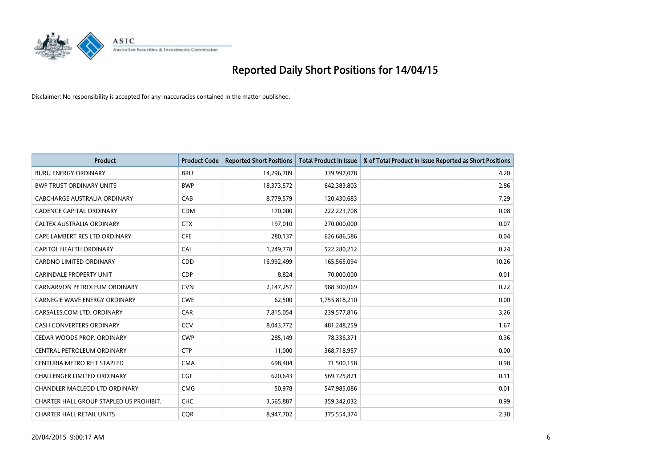

| <b>Product</b>                          | <b>Product Code</b> | <b>Reported Short Positions</b> | <b>Total Product in Issue</b> | % of Total Product in Issue Reported as Short Positions |
|-----------------------------------------|---------------------|---------------------------------|-------------------------------|---------------------------------------------------------|
| <b>BURU ENERGY ORDINARY</b>             | <b>BRU</b>          | 14,296,709                      | 339,997,078                   | 4.20                                                    |
| <b>BWP TRUST ORDINARY UNITS</b>         | <b>BWP</b>          | 18,373,572                      | 642,383,803                   | 2.86                                                    |
| CABCHARGE AUSTRALIA ORDINARY            | CAB                 | 8,779,579                       | 120,430,683                   | 7.29                                                    |
| <b>CADENCE CAPITAL ORDINARY</b>         | <b>CDM</b>          | 170,000                         | 222,223,708                   | 0.08                                                    |
| CALTEX AUSTRALIA ORDINARY               | <b>CTX</b>          | 197,010                         | 270,000,000                   | 0.07                                                    |
| CAPE LAMBERT RES LTD ORDINARY           | <b>CFE</b>          | 280,137                         | 626,686,586                   | 0.04                                                    |
| <b>CAPITOL HEALTH ORDINARY</b>          | CAJ                 | 1,249,778                       | 522,280,212                   | 0.24                                                    |
| <b>CARDNO LIMITED ORDINARY</b>          | CDD                 | 16,992,499                      | 165,565,094                   | 10.26                                                   |
| <b>CARINDALE PROPERTY UNIT</b>          | <b>CDP</b>          | 8,824                           | 70,000,000                    | 0.01                                                    |
| CARNARVON PETROLEUM ORDINARY            | <b>CVN</b>          | 2,147,257                       | 988,300,069                   | 0.22                                                    |
| <b>CARNEGIE WAVE ENERGY ORDINARY</b>    | <b>CWE</b>          | 62,500                          | 1,755,818,210                 | 0.00                                                    |
| CARSALES.COM LTD. ORDINARY              | <b>CAR</b>          | 7,815,054                       | 239,577,816                   | 3.26                                                    |
| <b>CASH CONVERTERS ORDINARY</b>         | CCV                 | 8,043,772                       | 481,248,259                   | 1.67                                                    |
| CEDAR WOODS PROP. ORDINARY              | <b>CWP</b>          | 285,149                         | 78,336,371                    | 0.36                                                    |
| CENTRAL PETROLEUM ORDINARY              | <b>CTP</b>          | 11,000                          | 368,718,957                   | 0.00                                                    |
| CENTURIA METRO REIT STAPLED             | <b>CMA</b>          | 698,404                         | 71,500,158                    | 0.98                                                    |
| CHALLENGER LIMITED ORDINARY             | <b>CGF</b>          | 620,643                         | 569,725,821                   | 0.11                                                    |
| CHANDLER MACLEOD LTD ORDINARY           | <b>CMG</b>          | 50,978                          | 547,985,086                   | 0.01                                                    |
| CHARTER HALL GROUP STAPLED US PROHIBIT. | <b>CHC</b>          | 3,565,887                       | 359,342,032                   | 0.99                                                    |
| <b>CHARTER HALL RETAIL UNITS</b>        | <b>COR</b>          | 8,947,702                       | 375,554,374                   | 2.38                                                    |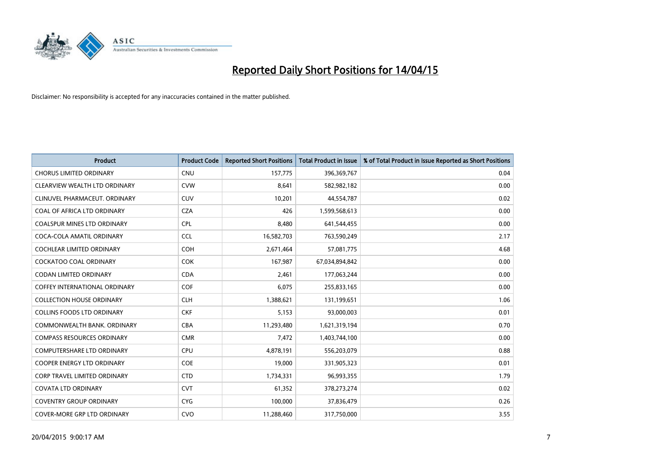

| <b>Product</b>                       | <b>Product Code</b> | <b>Reported Short Positions</b> | <b>Total Product in Issue</b> | % of Total Product in Issue Reported as Short Positions |
|--------------------------------------|---------------------|---------------------------------|-------------------------------|---------------------------------------------------------|
| <b>CHORUS LIMITED ORDINARY</b>       | <b>CNU</b>          | 157,775                         | 396,369,767                   | 0.04                                                    |
| CLEARVIEW WEALTH LTD ORDINARY        | <b>CVW</b>          | 8,641                           | 582,982,182                   | 0.00                                                    |
| CLINUVEL PHARMACEUT, ORDINARY        | <b>CUV</b>          | 10,201                          | 44,554,787                    | 0.02                                                    |
| COAL OF AFRICA LTD ORDINARY          | <b>CZA</b>          | 426                             | 1,599,568,613                 | 0.00                                                    |
| <b>COALSPUR MINES LTD ORDINARY</b>   | <b>CPL</b>          | 8,480                           | 641,544,455                   | 0.00                                                    |
| COCA-COLA AMATIL ORDINARY            | <b>CCL</b>          | 16,582,703                      | 763,590,249                   | 2.17                                                    |
| <b>COCHLEAR LIMITED ORDINARY</b>     | <b>COH</b>          | 2,671,464                       | 57,081,775                    | 4.68                                                    |
| COCKATOO COAL ORDINARY               | <b>COK</b>          | 167,987                         | 67,034,894,842                | 0.00                                                    |
| <b>CODAN LIMITED ORDINARY</b>        | <b>CDA</b>          | 2,461                           | 177,063,244                   | 0.00                                                    |
| <b>COFFEY INTERNATIONAL ORDINARY</b> | <b>COF</b>          | 6,075                           | 255,833,165                   | 0.00                                                    |
| <b>COLLECTION HOUSE ORDINARY</b>     | <b>CLH</b>          | 1,388,621                       | 131,199,651                   | 1.06                                                    |
| <b>COLLINS FOODS LTD ORDINARY</b>    | <b>CKF</b>          | 5,153                           | 93,000,003                    | 0.01                                                    |
| COMMONWEALTH BANK. ORDINARY          | <b>CBA</b>          | 11,293,480                      | 1,621,319,194                 | 0.70                                                    |
| <b>COMPASS RESOURCES ORDINARY</b>    | <b>CMR</b>          | 7,472                           | 1,403,744,100                 | 0.00                                                    |
| <b>COMPUTERSHARE LTD ORDINARY</b>    | <b>CPU</b>          | 4,878,191                       | 556,203,079                   | 0.88                                                    |
| <b>COOPER ENERGY LTD ORDINARY</b>    | <b>COE</b>          | 19,000                          | 331,905,323                   | 0.01                                                    |
| CORP TRAVEL LIMITED ORDINARY         | <b>CTD</b>          | 1,734,331                       | 96,993,355                    | 1.79                                                    |
| <b>COVATA LTD ORDINARY</b>           | <b>CVT</b>          | 61,352                          | 378,273,274                   | 0.02                                                    |
| <b>COVENTRY GROUP ORDINARY</b>       | <b>CYG</b>          | 100,000                         | 37,836,479                    | 0.26                                                    |
| COVER-MORE GRP LTD ORDINARY          | <b>CVO</b>          | 11,288,460                      | 317,750,000                   | 3.55                                                    |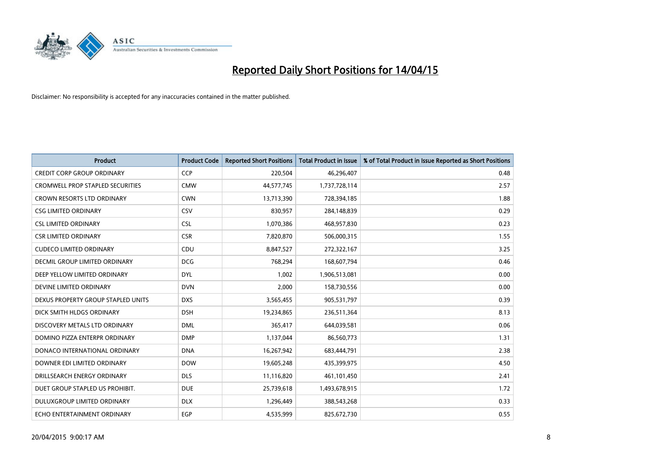

| <b>Product</b>                     | <b>Product Code</b> | <b>Reported Short Positions</b> | <b>Total Product in Issue</b> | % of Total Product in Issue Reported as Short Positions |
|------------------------------------|---------------------|---------------------------------|-------------------------------|---------------------------------------------------------|
| <b>CREDIT CORP GROUP ORDINARY</b>  | CCP                 | 220,504                         | 46,296,407                    | 0.48                                                    |
| CROMWELL PROP STAPLED SECURITIES   | <b>CMW</b>          | 44,577,745                      | 1,737,728,114                 | 2.57                                                    |
| <b>CROWN RESORTS LTD ORDINARY</b>  | <b>CWN</b>          | 13,713,390                      | 728,394,185                   | 1.88                                                    |
| <b>CSG LIMITED ORDINARY</b>        | <b>CSV</b>          | 830,957                         | 284,148,839                   | 0.29                                                    |
| <b>CSL LIMITED ORDINARY</b>        | <b>CSL</b>          | 1,070,386                       | 468,957,830                   | 0.23                                                    |
| <b>CSR LIMITED ORDINARY</b>        | <b>CSR</b>          | 7,820,870                       | 506,000,315                   | 1.55                                                    |
| <b>CUDECO LIMITED ORDINARY</b>     | CDU                 | 8,847,527                       | 272,322,167                   | 3.25                                                    |
| DECMIL GROUP LIMITED ORDINARY      | <b>DCG</b>          | 768,294                         | 168,607,794                   | 0.46                                                    |
| DEEP YELLOW LIMITED ORDINARY       | <b>DYL</b>          | 1,002                           | 1,906,513,081                 | 0.00                                                    |
| DEVINE LIMITED ORDINARY            | <b>DVN</b>          | 2,000                           | 158,730,556                   | 0.00                                                    |
| DEXUS PROPERTY GROUP STAPLED UNITS | <b>DXS</b>          | 3,565,455                       | 905,531,797                   | 0.39                                                    |
| DICK SMITH HLDGS ORDINARY          | <b>DSH</b>          | 19,234,865                      | 236,511,364                   | 8.13                                                    |
| DISCOVERY METALS LTD ORDINARY      | <b>DML</b>          | 365,417                         | 644,039,581                   | 0.06                                                    |
| DOMINO PIZZA ENTERPR ORDINARY      | <b>DMP</b>          | 1,137,044                       | 86,560,773                    | 1.31                                                    |
| DONACO INTERNATIONAL ORDINARY      | <b>DNA</b>          | 16,267,942                      | 683,444,791                   | 2.38                                                    |
| DOWNER EDI LIMITED ORDINARY        | <b>DOW</b>          | 19,605,248                      | 435,399,975                   | 4.50                                                    |
| DRILLSEARCH ENERGY ORDINARY        | <b>DLS</b>          | 11,116,820                      | 461,101,450                   | 2.41                                                    |
| DUET GROUP STAPLED US PROHIBIT.    | <b>DUE</b>          | 25,739,618                      | 1,493,678,915                 | 1.72                                                    |
| DULUXGROUP LIMITED ORDINARY        | <b>DLX</b>          | 1,296,449                       | 388,543,268                   | 0.33                                                    |
| ECHO ENTERTAINMENT ORDINARY        | <b>EGP</b>          | 4,535,999                       | 825,672,730                   | 0.55                                                    |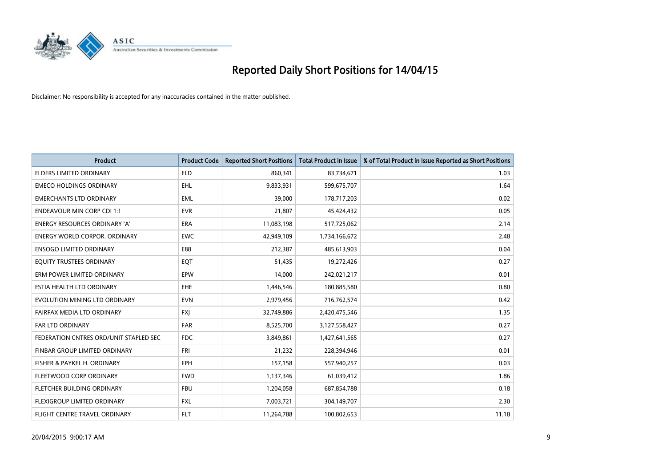

| <b>Product</b>                         | <b>Product Code</b> | <b>Reported Short Positions</b> | <b>Total Product in Issue</b> | % of Total Product in Issue Reported as Short Positions |
|----------------------------------------|---------------------|---------------------------------|-------------------------------|---------------------------------------------------------|
| <b>ELDERS LIMITED ORDINARY</b>         | <b>ELD</b>          | 860,341                         | 83,734,671                    | 1.03                                                    |
| <b>EMECO HOLDINGS ORDINARY</b>         | <b>EHL</b>          | 9,833,931                       | 599,675,707                   | 1.64                                                    |
| <b>EMERCHANTS LTD ORDINARY</b>         | EML                 | 39,000                          | 178,717,203                   | 0.02                                                    |
| <b>ENDEAVOUR MIN CORP CDI 1:1</b>      | <b>EVR</b>          | 21,807                          | 45,424,432                    | 0.05                                                    |
| <b>ENERGY RESOURCES ORDINARY 'A'</b>   | ERA                 | 11,083,198                      | 517,725,062                   | 2.14                                                    |
| <b>ENERGY WORLD CORPOR, ORDINARY</b>   | <b>EWC</b>          | 42,949,109                      | 1,734,166,672                 | 2.48                                                    |
| <b>ENSOGO LIMITED ORDINARY</b>         | E88                 | 212,387                         | 485,613,903                   | 0.04                                                    |
| EQUITY TRUSTEES ORDINARY               | EQT                 | 51,435                          | 19,272,426                    | 0.27                                                    |
| ERM POWER LIMITED ORDINARY             | EPW                 | 14,000                          | 242,021,217                   | 0.01                                                    |
| ESTIA HEALTH LTD ORDINARY              | EHE                 | 1,446,546                       | 180,885,580                   | 0.80                                                    |
| EVOLUTION MINING LTD ORDINARY          | <b>EVN</b>          | 2,979,456                       | 716,762,574                   | 0.42                                                    |
| FAIRFAX MEDIA LTD ORDINARY             | <b>FXJ</b>          | 32,749,886                      | 2,420,475,546                 | 1.35                                                    |
| FAR LTD ORDINARY                       | <b>FAR</b>          | 8,525,700                       | 3,127,558,427                 | 0.27                                                    |
| FEDERATION CNTRES ORD/UNIT STAPLED SEC | <b>FDC</b>          | 3,849,861                       | 1,427,641,565                 | 0.27                                                    |
| FINBAR GROUP LIMITED ORDINARY          | <b>FRI</b>          | 21,232                          | 228,394,946                   | 0.01                                                    |
| FISHER & PAYKEL H. ORDINARY            | <b>FPH</b>          | 157,158                         | 557,940,257                   | 0.03                                                    |
| FLEETWOOD CORP ORDINARY                | <b>FWD</b>          | 1,137,346                       | 61,039,412                    | 1.86                                                    |
| FLETCHER BUILDING ORDINARY             | <b>FBU</b>          | 1,204,058                       | 687,854,788                   | 0.18                                                    |
| FLEXIGROUP LIMITED ORDINARY            | <b>FXL</b>          | 7,003,721                       | 304,149,707                   | 2.30                                                    |
| FLIGHT CENTRE TRAVEL ORDINARY          | <b>FLT</b>          | 11,264,788                      | 100,802,653                   | 11.18                                                   |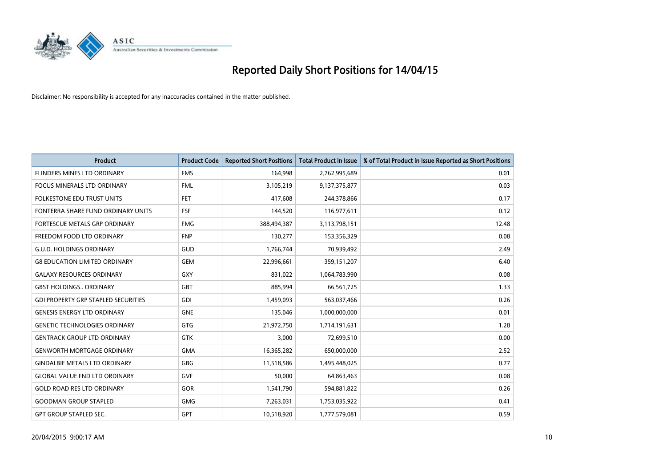

| <b>Product</b>                             | <b>Product Code</b> | <b>Reported Short Positions</b> | <b>Total Product in Issue</b> | % of Total Product in Issue Reported as Short Positions |
|--------------------------------------------|---------------------|---------------------------------|-------------------------------|---------------------------------------------------------|
| <b>FLINDERS MINES LTD ORDINARY</b>         | <b>FMS</b>          | 164,998                         | 2,762,995,689                 | 0.01                                                    |
| FOCUS MINERALS LTD ORDINARY                | <b>FML</b>          | 3,105,219                       | 9,137,375,877                 | 0.03                                                    |
| FOLKESTONE EDU TRUST UNITS                 | <b>FET</b>          | 417,608                         | 244,378,866                   | 0.17                                                    |
| FONTERRA SHARE FUND ORDINARY UNITS         | <b>FSF</b>          | 144,520                         | 116,977,611                   | 0.12                                                    |
| <b>FORTESCUE METALS GRP ORDINARY</b>       | <b>FMG</b>          | 388,494,387                     | 3,113,798,151                 | 12.48                                                   |
| FREEDOM FOOD LTD ORDINARY                  | <b>FNP</b>          | 130,277                         | 153,356,329                   | 0.08                                                    |
| <b>G.U.D. HOLDINGS ORDINARY</b>            | GUD                 | 1,766,744                       | 70,939,492                    | 2.49                                                    |
| <b>G8 EDUCATION LIMITED ORDINARY</b>       | <b>GEM</b>          | 22,996,661                      | 359,151,207                   | 6.40                                                    |
| <b>GALAXY RESOURCES ORDINARY</b>           | GXY                 | 831,022                         | 1,064,783,990                 | 0.08                                                    |
| <b>GBST HOLDINGS., ORDINARY</b>            | GBT                 | 885,994                         | 66,561,725                    | 1.33                                                    |
| <b>GDI PROPERTY GRP STAPLED SECURITIES</b> | GDI                 | 1,459,093                       | 563,037,466                   | 0.26                                                    |
| <b>GENESIS ENERGY LTD ORDINARY</b>         | <b>GNE</b>          | 135,046                         | 1,000,000,000                 | 0.01                                                    |
| <b>GENETIC TECHNOLOGIES ORDINARY</b>       | GTG                 | 21,972,750                      | 1,714,191,631                 | 1.28                                                    |
| <b>GENTRACK GROUP LTD ORDINARY</b>         | <b>GTK</b>          | 3,000                           | 72,699,510                    | 0.00                                                    |
| <b>GENWORTH MORTGAGE ORDINARY</b>          | <b>GMA</b>          | 16,365,282                      | 650,000,000                   | 2.52                                                    |
| <b>GINDALBIE METALS LTD ORDINARY</b>       | GBG                 | 11,518,586                      | 1,495,448,025                 | 0.77                                                    |
| <b>GLOBAL VALUE FND LTD ORDINARY</b>       | <b>GVF</b>          | 50,000                          | 64,863,463                    | 0.08                                                    |
| <b>GOLD ROAD RES LTD ORDINARY</b>          | GOR                 | 1,541,790                       | 594,881,822                   | 0.26                                                    |
| <b>GOODMAN GROUP STAPLED</b>               | <b>GMG</b>          | 7,263,031                       | 1,753,035,922                 | 0.41                                                    |
| <b>GPT GROUP STAPLED SEC.</b>              | <b>GPT</b>          | 10,518,920                      | 1,777,579,081                 | 0.59                                                    |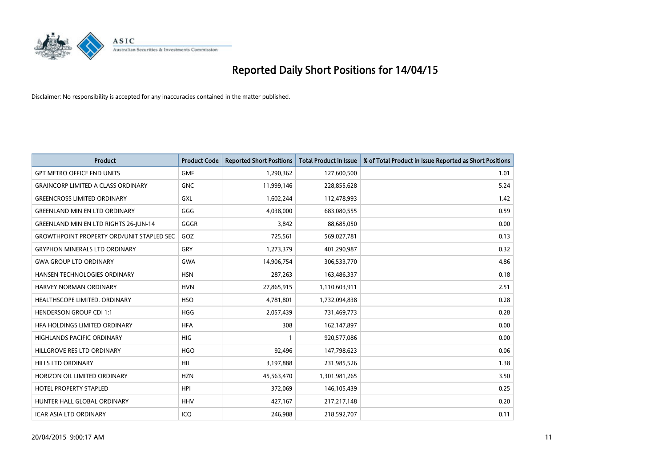

| Product                                          | <b>Product Code</b> | <b>Reported Short Positions</b> | <b>Total Product in Issue</b> | % of Total Product in Issue Reported as Short Positions |
|--------------------------------------------------|---------------------|---------------------------------|-------------------------------|---------------------------------------------------------|
| <b>GPT METRO OFFICE FND UNITS</b>                | <b>GMF</b>          | 1,290,362                       | 127,600,500                   | 1.01                                                    |
| <b>GRAINCORP LIMITED A CLASS ORDINARY</b>        | <b>GNC</b>          | 11,999,146                      | 228,855,628                   | 5.24                                                    |
| <b>GREENCROSS LIMITED ORDINARY</b>               | GXL                 | 1,602,244                       | 112,478,993                   | 1.42                                                    |
| <b>GREENLAND MIN EN LTD ORDINARY</b>             | GGG                 | 4,038,000                       | 683,080,555                   | 0.59                                                    |
| <b>GREENLAND MIN EN LTD RIGHTS 26-JUN-14</b>     | GGGR                | 3,842                           | 88,685,050                    | 0.00                                                    |
| <b>GROWTHPOINT PROPERTY ORD/UNIT STAPLED SEC</b> | GOZ                 | 725,561                         | 569,027,781                   | 0.13                                                    |
| <b>GRYPHON MINERALS LTD ORDINARY</b>             | GRY                 | 1,273,379                       | 401,290,987                   | 0.32                                                    |
| <b>GWA GROUP LTD ORDINARY</b>                    | <b>GWA</b>          | 14,906,754                      | 306,533,770                   | 4.86                                                    |
| HANSEN TECHNOLOGIES ORDINARY                     | <b>HSN</b>          | 287,263                         | 163,486,337                   | 0.18                                                    |
| <b>HARVEY NORMAN ORDINARY</b>                    | <b>HVN</b>          | 27,865,915                      | 1,110,603,911                 | 2.51                                                    |
| HEALTHSCOPE LIMITED. ORDINARY                    | <b>HSO</b>          | 4,781,801                       | 1,732,094,838                 | 0.28                                                    |
| <b>HENDERSON GROUP CDI 1:1</b>                   | HGG                 | 2,057,439                       | 731,469,773                   | 0.28                                                    |
| HFA HOLDINGS LIMITED ORDINARY                    | <b>HFA</b>          | 308                             | 162,147,897                   | 0.00                                                    |
| <b>HIGHLANDS PACIFIC ORDINARY</b>                | <b>HIG</b>          | $\mathbf{1}$                    | 920,577,086                   | 0.00                                                    |
| HILLGROVE RES LTD ORDINARY                       | <b>HGO</b>          | 92,496                          | 147,798,623                   | 0.06                                                    |
| HILLS LTD ORDINARY                               | <b>HIL</b>          | 3,197,888                       | 231,985,526                   | 1.38                                                    |
| HORIZON OIL LIMITED ORDINARY                     | <b>HZN</b>          | 45,563,470                      | 1,301,981,265                 | 3.50                                                    |
| <b>HOTEL PROPERTY STAPLED</b>                    | <b>HPI</b>          | 372,069                         | 146, 105, 439                 | 0.25                                                    |
| HUNTER HALL GLOBAL ORDINARY                      | <b>HHV</b>          | 427,167                         | 217,217,148                   | 0.20                                                    |
| <b>ICAR ASIA LTD ORDINARY</b>                    | ICQ                 | 246,988                         | 218,592,707                   | 0.11                                                    |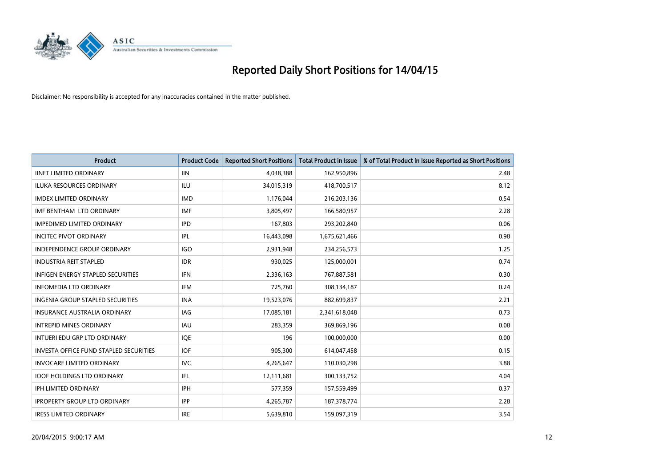

| Product                                       | <b>Product Code</b> | <b>Reported Short Positions</b> | <b>Total Product in Issue</b> | % of Total Product in Issue Reported as Short Positions |
|-----------------------------------------------|---------------------|---------------------------------|-------------------------------|---------------------------------------------------------|
| <b>IINET LIMITED ORDINARY</b>                 | <b>IIN</b>          | 4,038,388                       | 162,950,896                   | 2.48                                                    |
| <b>ILUKA RESOURCES ORDINARY</b>               | <b>ILU</b>          | 34,015,319                      | 418,700,517                   | 8.12                                                    |
| <b>IMDEX LIMITED ORDINARY</b>                 | <b>IMD</b>          | 1,176,044                       | 216,203,136                   | 0.54                                                    |
| IMF BENTHAM LTD ORDINARY                      | <b>IMF</b>          | 3,805,497                       | 166,580,957                   | 2.28                                                    |
| <b>IMPEDIMED LIMITED ORDINARY</b>             | <b>IPD</b>          | 167,803                         | 293,202,840                   | 0.06                                                    |
| <b>INCITEC PIVOT ORDINARY</b>                 | IPL                 | 16,443,098                      | 1,675,621,466                 | 0.98                                                    |
| <b>INDEPENDENCE GROUP ORDINARY</b>            | <b>IGO</b>          | 2,931,948                       | 234,256,573                   | 1.25                                                    |
| <b>INDUSTRIA REIT STAPLED</b>                 | <b>IDR</b>          | 930,025                         | 125,000,001                   | 0.74                                                    |
| <b>INFIGEN ENERGY STAPLED SECURITIES</b>      | <b>IFN</b>          | 2,336,163                       | 767,887,581                   | 0.30                                                    |
| <b>INFOMEDIA LTD ORDINARY</b>                 | <b>IFM</b>          | 725,760                         | 308,134,187                   | 0.24                                                    |
| <b>INGENIA GROUP STAPLED SECURITIES</b>       | <b>INA</b>          | 19,523,076                      | 882,699,837                   | 2.21                                                    |
| <b>INSURANCE AUSTRALIA ORDINARY</b>           | IAG                 | 17,085,181                      | 2,341,618,048                 | 0.73                                                    |
| <b>INTREPID MINES ORDINARY</b>                | <b>IAU</b>          | 283,359                         | 369,869,196                   | 0.08                                                    |
| INTUERI EDU GRP LTD ORDINARY                  | IQE                 | 196                             | 100,000,000                   | 0.00                                                    |
| <b>INVESTA OFFICE FUND STAPLED SECURITIES</b> | <b>IOF</b>          | 905,300                         | 614,047,458                   | 0.15                                                    |
| <b>INVOCARE LIMITED ORDINARY</b>              | <b>IVC</b>          | 4,265,647                       | 110,030,298                   | 3.88                                                    |
| <b>IOOF HOLDINGS LTD ORDINARY</b>             | IFL                 | 12,111,681                      | 300,133,752                   | 4.04                                                    |
| IPH LIMITED ORDINARY                          | <b>IPH</b>          | 577,359                         | 157,559,499                   | 0.37                                                    |
| <b>IPROPERTY GROUP LTD ORDINARY</b>           | <b>IPP</b>          | 4,265,787                       | 187, 378, 774                 | 2.28                                                    |
| <b>IRESS LIMITED ORDINARY</b>                 | <b>IRE</b>          | 5,639,810                       | 159,097,319                   | 3.54                                                    |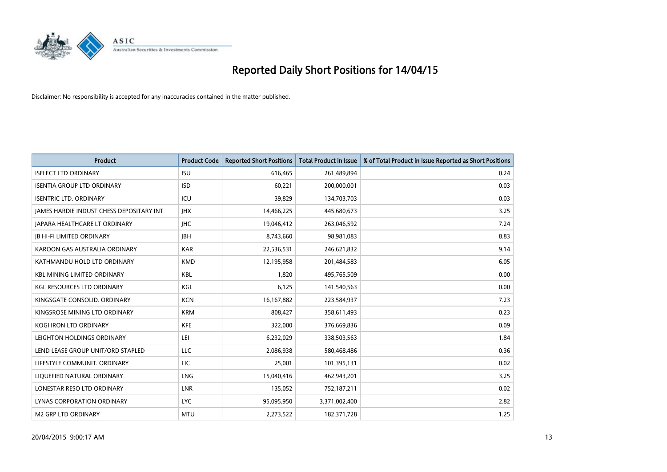

| <b>Product</b>                           | <b>Product Code</b> | <b>Reported Short Positions</b> | <b>Total Product in Issue</b> | % of Total Product in Issue Reported as Short Positions |
|------------------------------------------|---------------------|---------------------------------|-------------------------------|---------------------------------------------------------|
| <b>ISELECT LTD ORDINARY</b>              | <b>ISU</b>          | 616,465                         | 261,489,894                   | 0.24                                                    |
| <b>ISENTIA GROUP LTD ORDINARY</b>        | <b>ISD</b>          | 60,221                          | 200,000,001                   | 0.03                                                    |
| <b>ISENTRIC LTD. ORDINARY</b>            | ICU                 | 39,829                          | 134,703,703                   | 0.03                                                    |
| JAMES HARDIE INDUST CHESS DEPOSITARY INT | <b>IHX</b>          | 14,466,225                      | 445,680,673                   | 3.25                                                    |
| <b>JAPARA HEALTHCARE LT ORDINARY</b>     | <b>IHC</b>          | 19,046,412                      | 263,046,592                   | 7.24                                                    |
| JB HI-FI LIMITED ORDINARY                | <b>IBH</b>          | 8,743,660                       | 98,981,083                    | 8.83                                                    |
| KAROON GAS AUSTRALIA ORDINARY            | <b>KAR</b>          | 22,536,531                      | 246,621,832                   | 9.14                                                    |
| KATHMANDU HOLD LTD ORDINARY              | <b>KMD</b>          | 12,195,958                      | 201,484,583                   | 6.05                                                    |
| <b>KBL MINING LIMITED ORDINARY</b>       | <b>KBL</b>          | 1.820                           | 495,765,509                   | 0.00                                                    |
| <b>KGL RESOURCES LTD ORDINARY</b>        | <b>KGL</b>          | 6,125                           | 141,540,563                   | 0.00                                                    |
| KINGSGATE CONSOLID. ORDINARY             | <b>KCN</b>          | 16, 167, 882                    | 223,584,937                   | 7.23                                                    |
| KINGSROSE MINING LTD ORDINARY            | <b>KRM</b>          | 808,427                         | 358,611,493                   | 0.23                                                    |
| KOGI IRON LTD ORDINARY                   | <b>KFE</b>          | 322,000                         | 376,669,836                   | 0.09                                                    |
| LEIGHTON HOLDINGS ORDINARY               | LEI                 | 6,232,029                       | 338,503,563                   | 1.84                                                    |
| LEND LEASE GROUP UNIT/ORD STAPLED        | <b>LLC</b>          | 2,086,938                       | 580,468,486                   | 0.36                                                    |
| LIFESTYLE COMMUNIT. ORDINARY             | LIC                 | 25,001                          | 101,395,131                   | 0.02                                                    |
| LIQUEFIED NATURAL ORDINARY               | LNG                 | 15,040,416                      | 462,943,201                   | 3.25                                                    |
| LONESTAR RESO LTD ORDINARY               | <b>LNR</b>          | 135,052                         | 752,187,211                   | 0.02                                                    |
| LYNAS CORPORATION ORDINARY               | <b>LYC</b>          | 95,095,950                      | 3,371,002,400                 | 2.82                                                    |
| M2 GRP LTD ORDINARY                      | <b>MTU</b>          | 2,273,522                       | 182,371,728                   | 1.25                                                    |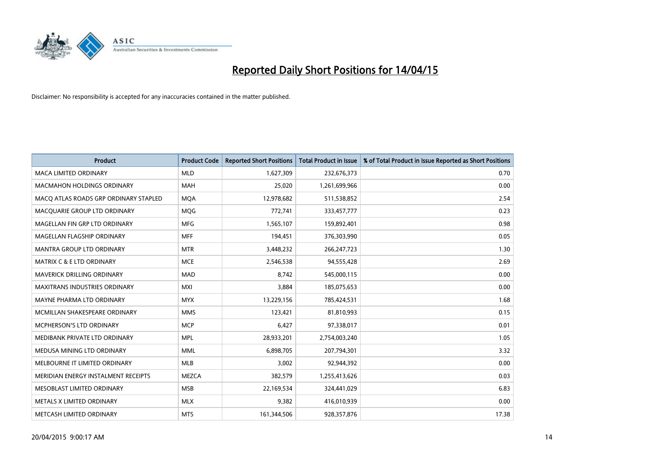

| <b>Product</b>                        | <b>Product Code</b> | <b>Reported Short Positions</b> | <b>Total Product in Issue</b> | % of Total Product in Issue Reported as Short Positions |
|---------------------------------------|---------------------|---------------------------------|-------------------------------|---------------------------------------------------------|
| <b>MACA LIMITED ORDINARY</b>          | <b>MLD</b>          | 1,627,309                       | 232,676,373                   | 0.70                                                    |
| <b>MACMAHON HOLDINGS ORDINARY</b>     | <b>MAH</b>          | 25,020                          | 1,261,699,966                 | 0.00                                                    |
| MACO ATLAS ROADS GRP ORDINARY STAPLED | <b>MOA</b>          | 12,978,682                      | 511,538,852                   | 2.54                                                    |
| MACQUARIE GROUP LTD ORDINARY          | <b>MOG</b>          | 772,741                         | 333,457,777                   | 0.23                                                    |
| MAGELLAN FIN GRP LTD ORDINARY         | <b>MFG</b>          | 1,565,107                       | 159,892,401                   | 0.98                                                    |
| MAGELLAN FLAGSHIP ORDINARY            | <b>MFF</b>          | 194,451                         | 376,303,990                   | 0.05                                                    |
| MANTRA GROUP LTD ORDINARY             | <b>MTR</b>          | 3,448,232                       | 266, 247, 723                 | 1.30                                                    |
| <b>MATRIX C &amp; E LTD ORDINARY</b>  | <b>MCE</b>          | 2,546,538                       | 94,555,428                    | 2.69                                                    |
| MAVERICK DRILLING ORDINARY            | <b>MAD</b>          | 8,742                           | 545,000,115                   | 0.00                                                    |
| <b>MAXITRANS INDUSTRIES ORDINARY</b>  | <b>MXI</b>          | 3,884                           | 185,075,653                   | 0.00                                                    |
| MAYNE PHARMA LTD ORDINARY             | <b>MYX</b>          | 13,229,156                      | 785,424,531                   | 1.68                                                    |
| MCMILLAN SHAKESPEARE ORDINARY         | <b>MMS</b>          | 123,421                         | 81,810,993                    | 0.15                                                    |
| <b>MCPHERSON'S LTD ORDINARY</b>       | <b>MCP</b>          | 6,427                           | 97,338,017                    | 0.01                                                    |
| MEDIBANK PRIVATE LTD ORDINARY         | <b>MPL</b>          | 28,933,201                      | 2,754,003,240                 | 1.05                                                    |
| MEDUSA MINING LTD ORDINARY            | <b>MML</b>          | 6,898,705                       | 207,794,301                   | 3.32                                                    |
| MELBOURNE IT LIMITED ORDINARY         | MLB                 | 3,002                           | 92,944,392                    | 0.00                                                    |
| MERIDIAN ENERGY INSTALMENT RECEIPTS   | <b>MEZCA</b>        | 382,579                         | 1,255,413,626                 | 0.03                                                    |
| MESOBLAST LIMITED ORDINARY            | <b>MSB</b>          | 22,169,534                      | 324,441,029                   | 6.83                                                    |
| METALS X LIMITED ORDINARY             | <b>MLX</b>          | 9,382                           | 416,010,939                   | 0.00                                                    |
| METCASH LIMITED ORDINARY              | <b>MTS</b>          | 161,344,506                     | 928,357,876                   | 17.38                                                   |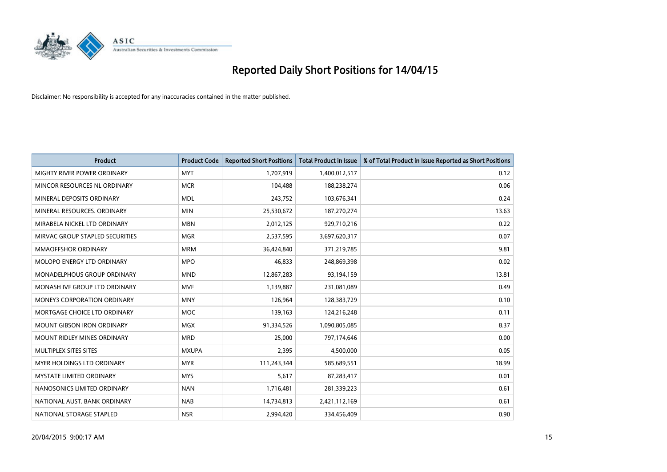

| <b>Product</b>                     | <b>Product Code</b> | <b>Reported Short Positions</b> | <b>Total Product in Issue</b> | % of Total Product in Issue Reported as Short Positions |
|------------------------------------|---------------------|---------------------------------|-------------------------------|---------------------------------------------------------|
| MIGHTY RIVER POWER ORDINARY        | <b>MYT</b>          | 1,707,919                       | 1,400,012,517                 | 0.12                                                    |
| MINCOR RESOURCES NL ORDINARY       | <b>MCR</b>          | 104,488                         | 188,238,274                   | 0.06                                                    |
| MINERAL DEPOSITS ORDINARY          | <b>MDL</b>          | 243,752                         | 103,676,341                   | 0.24                                                    |
| MINERAL RESOURCES, ORDINARY        | <b>MIN</b>          | 25,530,672                      | 187,270,274                   | 13.63                                                   |
| MIRABELA NICKEL LTD ORDINARY       | <b>MBN</b>          | 2,012,125                       | 929,710,216                   | 0.22                                                    |
| MIRVAC GROUP STAPLED SECURITIES    | <b>MGR</b>          | 2,537,595                       | 3,697,620,317                 | 0.07                                                    |
| MMAOFFSHOR ORDINARY                | <b>MRM</b>          | 36,424,840                      | 371,219,785                   | 9.81                                                    |
| MOLOPO ENERGY LTD ORDINARY         | <b>MPO</b>          | 46,833                          | 248,869,398                   | 0.02                                                    |
| MONADELPHOUS GROUP ORDINARY        | <b>MND</b>          | 12,867,283                      | 93,194,159                    | 13.81                                                   |
| MONASH IVF GROUP LTD ORDINARY      | <b>MVF</b>          | 1,139,887                       | 231,081,089                   | 0.49                                                    |
| MONEY3 CORPORATION ORDINARY        | <b>MNY</b>          | 126,964                         | 128,383,729                   | 0.10                                                    |
| MORTGAGE CHOICE LTD ORDINARY       | <b>MOC</b>          | 139,163                         | 124,216,248                   | 0.11                                                    |
| <b>MOUNT GIBSON IRON ORDINARY</b>  | <b>MGX</b>          | 91,334,526                      | 1,090,805,085                 | 8.37                                                    |
| <b>MOUNT RIDLEY MINES ORDINARY</b> | <b>MRD</b>          | 25,000                          | 797,174,646                   | 0.00                                                    |
| MULTIPLEX SITES SITES              | <b>MXUPA</b>        | 2,395                           | 4,500,000                     | 0.05                                                    |
| MYER HOLDINGS LTD ORDINARY         | <b>MYR</b>          | 111,243,344                     | 585,689,551                   | 18.99                                                   |
| MYSTATE LIMITED ORDINARY           | <b>MYS</b>          | 5,617                           | 87,283,417                    | 0.01                                                    |
| NANOSONICS LIMITED ORDINARY        | <b>NAN</b>          | 1,716,481                       | 281,339,223                   | 0.61                                                    |
| NATIONAL AUST, BANK ORDINARY       | <b>NAB</b>          | 14,734,813                      | 2,421,112,169                 | 0.61                                                    |
| NATIONAL STORAGE STAPLED           | <b>NSR</b>          | 2,994,420                       | 334,456,409                   | 0.90                                                    |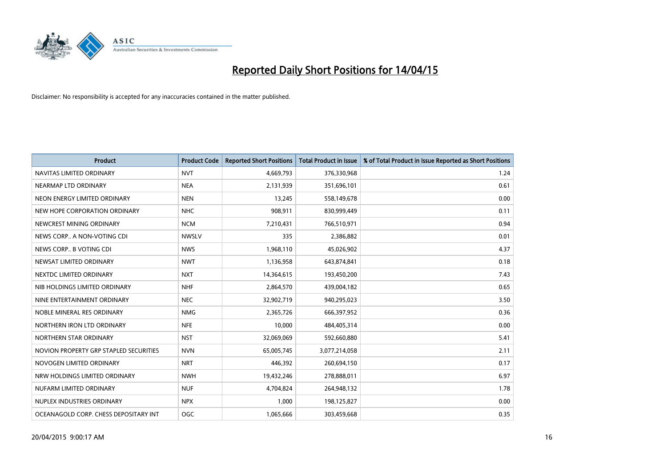

| <b>Product</b>                         | <b>Product Code</b> | <b>Reported Short Positions</b> | <b>Total Product in Issue</b> | % of Total Product in Issue Reported as Short Positions |
|----------------------------------------|---------------------|---------------------------------|-------------------------------|---------------------------------------------------------|
| NAVITAS LIMITED ORDINARY               | <b>NVT</b>          | 4,669,793                       | 376,330,968                   | 1.24                                                    |
| NEARMAP LTD ORDINARY                   | <b>NEA</b>          | 2,131,939                       | 351,696,101                   | 0.61                                                    |
| NEON ENERGY LIMITED ORDINARY           | <b>NEN</b>          | 13,245                          | 558,149,678                   | 0.00                                                    |
| NEW HOPE CORPORATION ORDINARY          | <b>NHC</b>          | 908,911                         | 830,999,449                   | 0.11                                                    |
| NEWCREST MINING ORDINARY               | <b>NCM</b>          | 7,210,431                       | 766,510,971                   | 0.94                                                    |
| NEWS CORP A NON-VOTING CDI             | <b>NWSLV</b>        | 335                             | 2,386,882                     | 0.01                                                    |
| NEWS CORP B VOTING CDI                 | <b>NWS</b>          | 1,968,110                       | 45,026,902                    | 4.37                                                    |
| NEWSAT LIMITED ORDINARY                | <b>NWT</b>          | 1,136,958                       | 643,874,841                   | 0.18                                                    |
| NEXTDC LIMITED ORDINARY                | <b>NXT</b>          | 14,364,615                      | 193,450,200                   | 7.43                                                    |
| NIB HOLDINGS LIMITED ORDINARY          | <b>NHF</b>          | 2,864,570                       | 439,004,182                   | 0.65                                                    |
| NINE ENTERTAINMENT ORDINARY            | <b>NEC</b>          | 32,902,719                      | 940,295,023                   | 3.50                                                    |
| NOBLE MINERAL RES ORDINARY             | <b>NMG</b>          | 2,365,726                       | 666,397,952                   | 0.36                                                    |
| NORTHERN IRON LTD ORDINARY             | <b>NFE</b>          | 10,000                          | 484,405,314                   | 0.00                                                    |
| NORTHERN STAR ORDINARY                 | <b>NST</b>          | 32,069,069                      | 592,660,880                   | 5.41                                                    |
| NOVION PROPERTY GRP STAPLED SECURITIES | <b>NVN</b>          | 65,005,745                      | 3,077,214,058                 | 2.11                                                    |
| NOVOGEN LIMITED ORDINARY               | <b>NRT</b>          | 446,392                         | 260,694,150                   | 0.17                                                    |
| NRW HOLDINGS LIMITED ORDINARY          | <b>NWH</b>          | 19,432,246                      | 278,888,011                   | 6.97                                                    |
| NUFARM LIMITED ORDINARY                | <b>NUF</b>          | 4,704,824                       | 264,948,132                   | 1.78                                                    |
| NUPLEX INDUSTRIES ORDINARY             | <b>NPX</b>          | 1,000                           | 198,125,827                   | 0.00                                                    |
| OCEANAGOLD CORP. CHESS DEPOSITARY INT  | OGC                 | 1,065,666                       | 303,459,668                   | 0.35                                                    |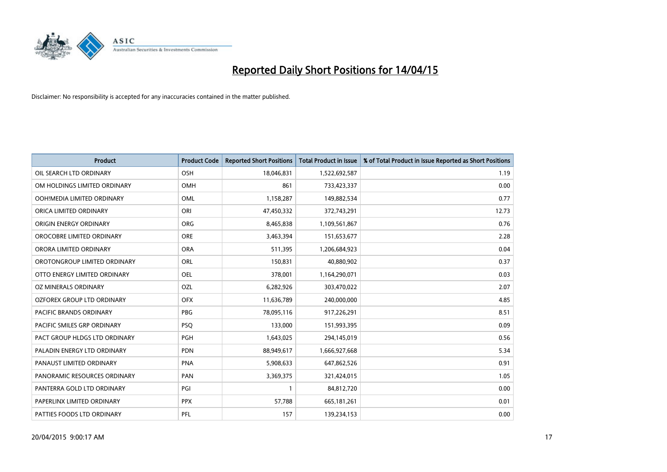

| <b>Product</b>                | <b>Product Code</b> | <b>Reported Short Positions</b> | <b>Total Product in Issue</b> | % of Total Product in Issue Reported as Short Positions |
|-------------------------------|---------------------|---------------------------------|-------------------------------|---------------------------------------------------------|
| OIL SEARCH LTD ORDINARY       | OSH                 | 18,046,831                      | 1,522,692,587                 | 1.19                                                    |
| OM HOLDINGS LIMITED ORDINARY  | OMH                 | 861                             | 733,423,337                   | 0.00                                                    |
| OOH!MEDIA LIMITED ORDINARY    | OML                 | 1,158,287                       | 149,882,534                   | 0.77                                                    |
| ORICA LIMITED ORDINARY        | ORI                 | 47,450,332                      | 372,743,291                   | 12.73                                                   |
| ORIGIN ENERGY ORDINARY        | ORG                 | 8,465,838                       | 1,109,561,867                 | 0.76                                                    |
| OROCOBRE LIMITED ORDINARY     | <b>ORE</b>          | 3,463,394                       | 151,653,677                   | 2.28                                                    |
| ORORA LIMITED ORDINARY        | <b>ORA</b>          | 511,395                         | 1,206,684,923                 | 0.04                                                    |
| OROTONGROUP LIMITED ORDINARY  | ORL                 | 150,831                         | 40,880,902                    | 0.37                                                    |
| OTTO ENERGY LIMITED ORDINARY  | OEL                 | 378,001                         | 1,164,290,071                 | 0.03                                                    |
| OZ MINERALS ORDINARY          | OZL                 | 6,282,926                       | 303,470,022                   | 2.07                                                    |
| OZFOREX GROUP LTD ORDINARY    | <b>OFX</b>          | 11,636,789                      | 240,000,000                   | 4.85                                                    |
| PACIFIC BRANDS ORDINARY       | <b>PBG</b>          | 78,095,116                      | 917,226,291                   | 8.51                                                    |
| PACIFIC SMILES GRP ORDINARY   | <b>PSQ</b>          | 133,000                         | 151,993,395                   | 0.09                                                    |
| PACT GROUP HLDGS LTD ORDINARY | <b>PGH</b>          | 1,643,025                       | 294,145,019                   | 0.56                                                    |
| PALADIN ENERGY LTD ORDINARY   | <b>PDN</b>          | 88,949,617                      | 1,666,927,668                 | 5.34                                                    |
| PANAUST LIMITED ORDINARY      | <b>PNA</b>          | 5,908,633                       | 647,862,526                   | 0.91                                                    |
| PANORAMIC RESOURCES ORDINARY  | PAN                 | 3,369,375                       | 321,424,015                   | 1.05                                                    |
| PANTERRA GOLD LTD ORDINARY    | PGI                 | 1                               | 84,812,720                    | 0.00                                                    |
| PAPERLINX LIMITED ORDINARY    | <b>PPX</b>          | 57,788                          | 665, 181, 261                 | 0.01                                                    |
| PATTIES FOODS LTD ORDINARY    | PFL                 | 157                             | 139,234,153                   | 0.00                                                    |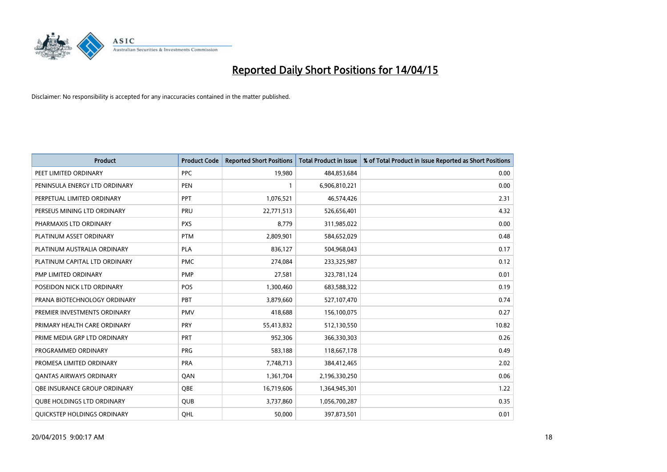

| <b>Product</b>                    | <b>Product Code</b> | <b>Reported Short Positions</b> | <b>Total Product in Issue</b> | % of Total Product in Issue Reported as Short Positions |
|-----------------------------------|---------------------|---------------------------------|-------------------------------|---------------------------------------------------------|
| PEET LIMITED ORDINARY             | <b>PPC</b>          | 19,980                          | 484,853,684                   | 0.00                                                    |
| PENINSULA ENERGY LTD ORDINARY     | <b>PEN</b>          | $\mathbf{1}$                    | 6,906,810,221                 | 0.00                                                    |
| PERPETUAL LIMITED ORDINARY        | PPT                 | 1,076,521                       | 46,574,426                    | 2.31                                                    |
| PERSEUS MINING LTD ORDINARY       | PRU                 | 22,771,513                      | 526,656,401                   | 4.32                                                    |
| PHARMAXIS LTD ORDINARY            | <b>PXS</b>          | 8,779                           | 311,985,022                   | 0.00                                                    |
| PLATINUM ASSET ORDINARY           | <b>PTM</b>          | 2,809,901                       | 584,652,029                   | 0.48                                                    |
| PLATINUM AUSTRALIA ORDINARY       | PLA                 | 836,127                         | 504,968,043                   | 0.17                                                    |
| PLATINUM CAPITAL LTD ORDINARY     | <b>PMC</b>          | 274,084                         | 233,325,987                   | 0.12                                                    |
| <b>PMP LIMITED ORDINARY</b>       | <b>PMP</b>          | 27,581                          | 323,781,124                   | 0.01                                                    |
| POSEIDON NICK LTD ORDINARY        | <b>POS</b>          | 1,300,460                       | 683,588,322                   | 0.19                                                    |
| PRANA BIOTECHNOLOGY ORDINARY      | PBT                 | 3,879,660                       | 527,107,470                   | 0.74                                                    |
| PREMIER INVESTMENTS ORDINARY      | <b>PMV</b>          | 418,688                         | 156,100,075                   | 0.27                                                    |
| PRIMARY HEALTH CARE ORDINARY      | <b>PRY</b>          | 55,413,832                      | 512,130,550                   | 10.82                                                   |
| PRIME MEDIA GRP LTD ORDINARY      | <b>PRT</b>          | 952,306                         | 366,330,303                   | 0.26                                                    |
| PROGRAMMED ORDINARY               | <b>PRG</b>          | 583,188                         | 118,667,178                   | 0.49                                                    |
| PROMESA LIMITED ORDINARY          | <b>PRA</b>          | 7,748,713                       | 384,412,465                   | 2.02                                                    |
| <b>QANTAS AIRWAYS ORDINARY</b>    | QAN                 | 1,361,704                       | 2,196,330,250                 | 0.06                                                    |
| OBE INSURANCE GROUP ORDINARY      | <b>OBE</b>          | 16,719,606                      | 1,364,945,301                 | 1.22                                                    |
| <b>QUBE HOLDINGS LTD ORDINARY</b> | <b>QUB</b>          | 3,737,860                       | 1,056,700,287                 | 0.35                                                    |
| QUICKSTEP HOLDINGS ORDINARY       | OHL                 | 50,000                          | 397,873,501                   | 0.01                                                    |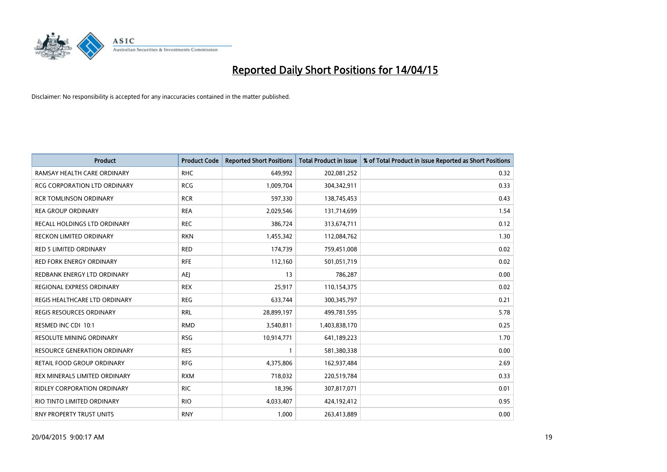

| <b>Product</b>                      | <b>Product Code</b> | <b>Reported Short Positions</b> | <b>Total Product in Issue</b> | % of Total Product in Issue Reported as Short Positions |
|-------------------------------------|---------------------|---------------------------------|-------------------------------|---------------------------------------------------------|
| RAMSAY HEALTH CARE ORDINARY         | <b>RHC</b>          | 649,992                         | 202,081,252                   | 0.32                                                    |
| <b>RCG CORPORATION LTD ORDINARY</b> | <b>RCG</b>          | 1,009,704                       | 304,342,911                   | 0.33                                                    |
| RCR TOMLINSON ORDINARY              | <b>RCR</b>          | 597,330                         | 138,745,453                   | 0.43                                                    |
| <b>REA GROUP ORDINARY</b>           | <b>REA</b>          | 2,029,546                       | 131,714,699                   | 1.54                                                    |
| RECALL HOLDINGS LTD ORDINARY        | <b>REC</b>          | 386,724                         | 313,674,711                   | 0.12                                                    |
| <b>RECKON LIMITED ORDINARY</b>      | <b>RKN</b>          | 1,455,342                       | 112,084,762                   | 1.30                                                    |
| RED 5 LIMITED ORDINARY              | <b>RED</b>          | 174,739                         | 759,451,008                   | 0.02                                                    |
| <b>RED FORK ENERGY ORDINARY</b>     | <b>RFE</b>          | 112,160                         | 501,051,719                   | 0.02                                                    |
| REDBANK ENERGY LTD ORDINARY         | <b>AEJ</b>          | 13                              | 786,287                       | 0.00                                                    |
| REGIONAL EXPRESS ORDINARY           | <b>REX</b>          | 25,917                          | 110,154,375                   | 0.02                                                    |
| REGIS HEALTHCARE LTD ORDINARY       | <b>REG</b>          | 633,744                         | 300,345,797                   | 0.21                                                    |
| <b>REGIS RESOURCES ORDINARY</b>     | <b>RRL</b>          | 28,899,197                      | 499,781,595                   | 5.78                                                    |
| RESMED INC CDI 10:1                 | <b>RMD</b>          | 3,540,811                       | 1,403,838,170                 | 0.25                                                    |
| <b>RESOLUTE MINING ORDINARY</b>     | <b>RSG</b>          | 10,914,771                      | 641,189,223                   | 1.70                                                    |
| RESOURCE GENERATION ORDINARY        | <b>RES</b>          | $\mathbf{1}$                    | 581,380,338                   | 0.00                                                    |
| RETAIL FOOD GROUP ORDINARY          | <b>RFG</b>          | 4,375,806                       | 162,937,484                   | 2.69                                                    |
| REX MINERALS LIMITED ORDINARY       | <b>RXM</b>          | 718,032                         | 220,519,784                   | 0.33                                                    |
| RIDLEY CORPORATION ORDINARY         | <b>RIC</b>          | 18,396                          | 307,817,071                   | 0.01                                                    |
| RIO TINTO LIMITED ORDINARY          | <b>RIO</b>          | 4,033,407                       | 424,192,412                   | 0.95                                                    |
| RNY PROPERTY TRUST UNITS            | <b>RNY</b>          | 1,000                           | 263,413,889                   | 0.00                                                    |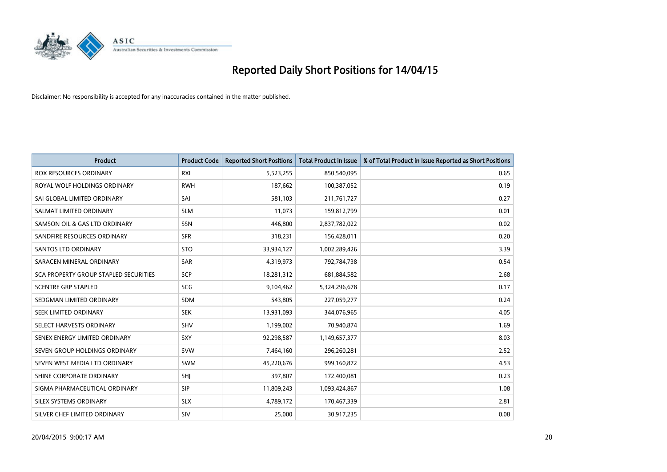

| <b>Product</b>                        | <b>Product Code</b> | <b>Reported Short Positions</b> | <b>Total Product in Issue</b> | % of Total Product in Issue Reported as Short Positions |
|---------------------------------------|---------------------|---------------------------------|-------------------------------|---------------------------------------------------------|
| <b>ROX RESOURCES ORDINARY</b>         | <b>RXL</b>          | 5,523,255                       | 850,540,095                   | 0.65                                                    |
| ROYAL WOLF HOLDINGS ORDINARY          | <b>RWH</b>          | 187,662                         | 100,387,052                   | 0.19                                                    |
| SAI GLOBAL LIMITED ORDINARY           | SAI                 | 581,103                         | 211,761,727                   | 0.27                                                    |
| SALMAT LIMITED ORDINARY               | <b>SLM</b>          | 11,073                          | 159,812,799                   | 0.01                                                    |
| SAMSON OIL & GAS LTD ORDINARY         | SSN                 | 446,800                         | 2,837,782,022                 | 0.02                                                    |
| SANDFIRE RESOURCES ORDINARY           | <b>SFR</b>          | 318,231                         | 156,428,011                   | 0.20                                                    |
| <b>SANTOS LTD ORDINARY</b>            | <b>STO</b>          | 33,934,127                      | 1,002,289,426                 | 3.39                                                    |
| SARACEN MINERAL ORDINARY              | <b>SAR</b>          | 4,319,973                       | 792,784,738                   | 0.54                                                    |
| SCA PROPERTY GROUP STAPLED SECURITIES | <b>SCP</b>          | 18,281,312                      | 681,884,582                   | 2.68                                                    |
| <b>SCENTRE GRP STAPLED</b>            | <b>SCG</b>          | 9,104,462                       | 5,324,296,678                 | 0.17                                                    |
| SEDGMAN LIMITED ORDINARY              | SDM                 | 543,805                         | 227,059,277                   | 0.24                                                    |
| <b>SEEK LIMITED ORDINARY</b>          | <b>SEK</b>          | 13,931,093                      | 344,076,965                   | 4.05                                                    |
| SELECT HARVESTS ORDINARY              | SHV                 | 1,199,002                       | 70,940,874                    | 1.69                                                    |
| SENEX ENERGY LIMITED ORDINARY         | SXY                 | 92,298,587                      | 1,149,657,377                 | 8.03                                                    |
| SEVEN GROUP HOLDINGS ORDINARY         | <b>SVW</b>          | 7,464,160                       | 296,260,281                   | 2.52                                                    |
| SEVEN WEST MEDIA LTD ORDINARY         | SWM                 | 45,220,676                      | 999,160,872                   | 4.53                                                    |
| SHINE CORPORATE ORDINARY              | SHJ                 | 397,807                         | 172,400,081                   | 0.23                                                    |
| SIGMA PHARMACEUTICAL ORDINARY         | <b>SIP</b>          | 11,809,243                      | 1,093,424,867                 | 1.08                                                    |
| SILEX SYSTEMS ORDINARY                | <b>SLX</b>          | 4,789,172                       | 170,467,339                   | 2.81                                                    |
| SILVER CHEF LIMITED ORDINARY          | SIV                 | 25,000                          | 30,917,235                    | 0.08                                                    |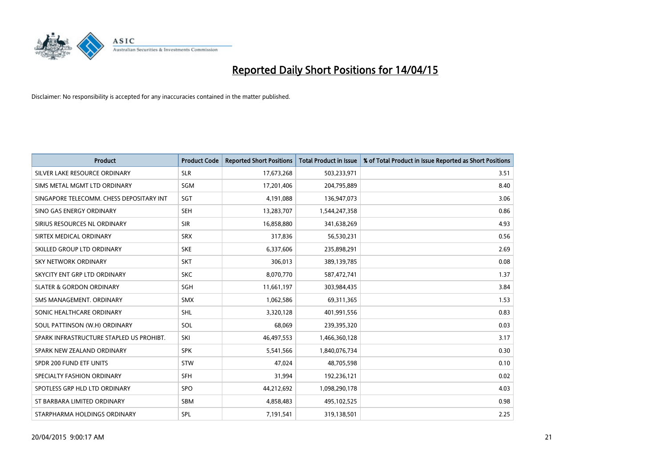

| <b>Product</b>                           | <b>Product Code</b> | <b>Reported Short Positions</b> | <b>Total Product in Issue</b> | % of Total Product in Issue Reported as Short Positions |
|------------------------------------------|---------------------|---------------------------------|-------------------------------|---------------------------------------------------------|
| SILVER LAKE RESOURCE ORDINARY            | <b>SLR</b>          | 17,673,268                      | 503,233,971                   | 3.51                                                    |
| SIMS METAL MGMT LTD ORDINARY             | <b>SGM</b>          | 17,201,406                      | 204,795,889                   | 8.40                                                    |
| SINGAPORE TELECOMM. CHESS DEPOSITARY INT | SGT                 | 4,191,088                       | 136,947,073                   | 3.06                                                    |
| SINO GAS ENERGY ORDINARY                 | <b>SEH</b>          | 13,283,707                      | 1,544,247,358                 | 0.86                                                    |
| SIRIUS RESOURCES NL ORDINARY             | <b>SIR</b>          | 16,858,880                      | 341,638,269                   | 4.93                                                    |
| SIRTEX MEDICAL ORDINARY                  | <b>SRX</b>          | 317,836                         | 56,530,231                    | 0.56                                                    |
| SKILLED GROUP LTD ORDINARY               | <b>SKE</b>          | 6,337,606                       | 235,898,291                   | 2.69                                                    |
| SKY NETWORK ORDINARY                     | <b>SKT</b>          | 306,013                         | 389,139,785                   | 0.08                                                    |
| SKYCITY ENT GRP LTD ORDINARY             | <b>SKC</b>          | 8,070,770                       | 587,472,741                   | 1.37                                                    |
| <b>SLATER &amp; GORDON ORDINARY</b>      | SGH                 | 11,661,197                      | 303,984,435                   | 3.84                                                    |
| SMS MANAGEMENT. ORDINARY                 | SMX                 | 1,062,586                       | 69,311,365                    | 1.53                                                    |
| SONIC HEALTHCARE ORDINARY                | <b>SHL</b>          | 3,320,128                       | 401,991,556                   | 0.83                                                    |
| SOUL PATTINSON (W.H) ORDINARY            | SOL                 | 68,069                          | 239,395,320                   | 0.03                                                    |
| SPARK INFRASTRUCTURE STAPLED US PROHIBT. | SKI                 | 46,497,553                      | 1,466,360,128                 | 3.17                                                    |
| SPARK NEW ZEALAND ORDINARY               | <b>SPK</b>          | 5,541,566                       | 1,840,076,734                 | 0.30                                                    |
| SPDR 200 FUND ETF UNITS                  | <b>STW</b>          | 47,024                          | 48,705,598                    | 0.10                                                    |
| SPECIALTY FASHION ORDINARY               | <b>SFH</b>          | 31,994                          | 192,236,121                   | 0.02                                                    |
| SPOTLESS GRP HLD LTD ORDINARY            | <b>SPO</b>          | 44,212,692                      | 1,098,290,178                 | 4.03                                                    |
| ST BARBARA LIMITED ORDINARY              | <b>SBM</b>          | 4,858,483                       | 495,102,525                   | 0.98                                                    |
| STARPHARMA HOLDINGS ORDINARY             | SPL                 | 7,191,541                       | 319,138,501                   | 2.25                                                    |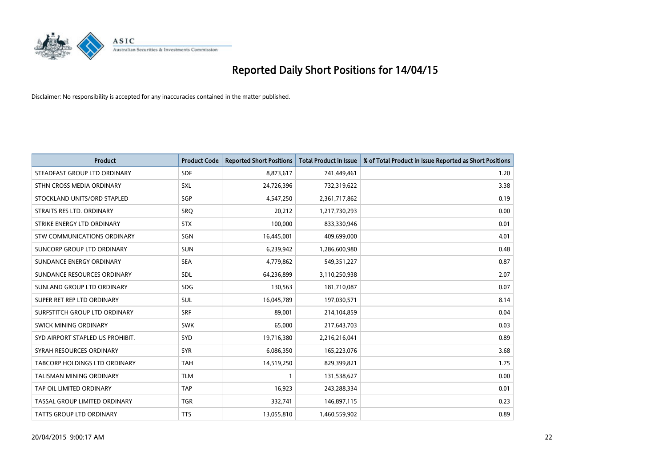

| <b>Product</b>                     | <b>Product Code</b> | <b>Reported Short Positions</b> | <b>Total Product in Issue</b> | % of Total Product in Issue Reported as Short Positions |
|------------------------------------|---------------------|---------------------------------|-------------------------------|---------------------------------------------------------|
| STEADFAST GROUP LTD ORDINARY       | <b>SDF</b>          | 8,873,617                       | 741,449,461                   | 1.20                                                    |
| STHN CROSS MEDIA ORDINARY          | <b>SXL</b>          | 24,726,396                      | 732,319,622                   | 3.38                                                    |
| STOCKLAND UNITS/ORD STAPLED        | SGP                 | 4,547,250                       | 2,361,717,862                 | 0.19                                                    |
| STRAITS RES LTD. ORDINARY          | SRO                 | 20,212                          | 1,217,730,293                 | 0.00                                                    |
| STRIKE ENERGY LTD ORDINARY         | <b>STX</b>          | 100,000                         | 833,330,946                   | 0.01                                                    |
| <b>STW COMMUNICATIONS ORDINARY</b> | SGN                 | 16,445,001                      | 409,699,000                   | 4.01                                                    |
| SUNCORP GROUP LTD ORDINARY         | <b>SUN</b>          | 6,239,942                       | 1,286,600,980                 | 0.48                                                    |
| SUNDANCE ENERGY ORDINARY           | <b>SEA</b>          | 4,779,862                       | 549,351,227                   | 0.87                                                    |
| SUNDANCE RESOURCES ORDINARY        | <b>SDL</b>          | 64,236,899                      | 3,110,250,938                 | 2.07                                                    |
| SUNLAND GROUP LTD ORDINARY         | <b>SDG</b>          | 130,563                         | 181,710,087                   | 0.07                                                    |
| SUPER RET REP LTD ORDINARY         | <b>SUL</b>          | 16,045,789                      | 197,030,571                   | 8.14                                                    |
| SURFSTITCH GROUP LTD ORDINARY      | <b>SRF</b>          | 89,001                          | 214,104,859                   | 0.04                                                    |
| SWICK MINING ORDINARY              | <b>SWK</b>          | 65,000                          | 217,643,703                   | 0.03                                                    |
| SYD AIRPORT STAPLED US PROHIBIT.   | SYD                 | 19,716,380                      | 2,216,216,041                 | 0.89                                                    |
| SYRAH RESOURCES ORDINARY           | <b>SYR</b>          | 6,086,350                       | 165,223,076                   | 3.68                                                    |
| TABCORP HOLDINGS LTD ORDINARY      | <b>TAH</b>          | 14,519,250                      | 829,399,821                   | 1.75                                                    |
| TALISMAN MINING ORDINARY           | <b>TLM</b>          | 1                               | 131,538,627                   | 0.00                                                    |
| TAP OIL LIMITED ORDINARY           | <b>TAP</b>          | 16,923                          | 243,288,334                   | 0.01                                                    |
| TASSAL GROUP LIMITED ORDINARY      | <b>TGR</b>          | 332,741                         | 146,897,115                   | 0.23                                                    |
| TATTS GROUP LTD ORDINARY           | <b>TTS</b>          | 13,055,810                      | 1,460,559,902                 | 0.89                                                    |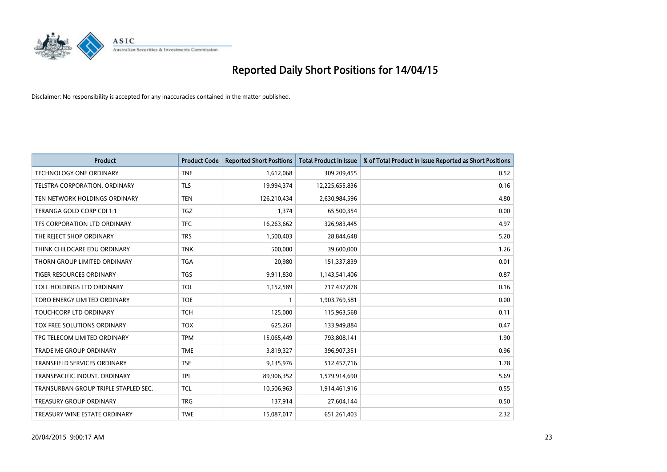

| <b>Product</b>                       | <b>Product Code</b> | <b>Reported Short Positions</b> | <b>Total Product in Issue</b> | % of Total Product in Issue Reported as Short Positions |
|--------------------------------------|---------------------|---------------------------------|-------------------------------|---------------------------------------------------------|
| <b>TECHNOLOGY ONE ORDINARY</b>       | <b>TNE</b>          | 1,612,068                       | 309,209,455                   | 0.52                                                    |
| TELSTRA CORPORATION, ORDINARY        | <b>TLS</b>          | 19,994,374                      | 12,225,655,836                | 0.16                                                    |
| TEN NETWORK HOLDINGS ORDINARY        | <b>TEN</b>          | 126,210,434                     | 2,630,984,596                 | 4.80                                                    |
| TERANGA GOLD CORP CDI 1:1            | <b>TGZ</b>          | 1,374                           | 65,500,354                    | 0.00                                                    |
| TFS CORPORATION LTD ORDINARY         | <b>TFC</b>          | 16,263,662                      | 326,983,445                   | 4.97                                                    |
| THE REJECT SHOP ORDINARY             | <b>TRS</b>          | 1,500,403                       | 28,844,648                    | 5.20                                                    |
| THINK CHILDCARE EDU ORDINARY         | <b>TNK</b>          | 500,000                         | 39,600,000                    | 1.26                                                    |
| THORN GROUP LIMITED ORDINARY         | <b>TGA</b>          | 20,980                          | 151,337,839                   | 0.01                                                    |
| TIGER RESOURCES ORDINARY             | <b>TGS</b>          | 9,911,830                       | 1,143,541,406                 | 0.87                                                    |
| TOLL HOLDINGS LTD ORDINARY           | TOL                 | 1,152,589                       | 717,437,878                   | 0.16                                                    |
| TORO ENERGY LIMITED ORDINARY         | <b>TOE</b>          | 1                               | 1,903,769,581                 | 0.00                                                    |
| TOUCHCORP LTD ORDINARY               | <b>TCH</b>          | 125,000                         | 115,963,568                   | 0.11                                                    |
| TOX FREE SOLUTIONS ORDINARY          | <b>TOX</b>          | 625,261                         | 133,949,884                   | 0.47                                                    |
| TPG TELECOM LIMITED ORDINARY         | <b>TPM</b>          | 15,065,449                      | 793,808,141                   | 1.90                                                    |
| <b>TRADE ME GROUP ORDINARY</b>       | <b>TME</b>          | 3,819,327                       | 396,907,351                   | 0.96                                                    |
| <b>TRANSFIELD SERVICES ORDINARY</b>  | <b>TSE</b>          | 9,135,976                       | 512,457,716                   | 1.78                                                    |
| TRANSPACIFIC INDUST, ORDINARY        | <b>TPI</b>          | 89,906,352                      | 1,579,914,690                 | 5.69                                                    |
| TRANSURBAN GROUP TRIPLE STAPLED SEC. | <b>TCL</b>          | 10,506,963                      | 1,914,461,916                 | 0.55                                                    |
| <b>TREASURY GROUP ORDINARY</b>       | <b>TRG</b>          | 137,914                         | 27,604,144                    | 0.50                                                    |
| TREASURY WINE ESTATE ORDINARY        | <b>TWE</b>          | 15,087,017                      | 651,261,403                   | 2.32                                                    |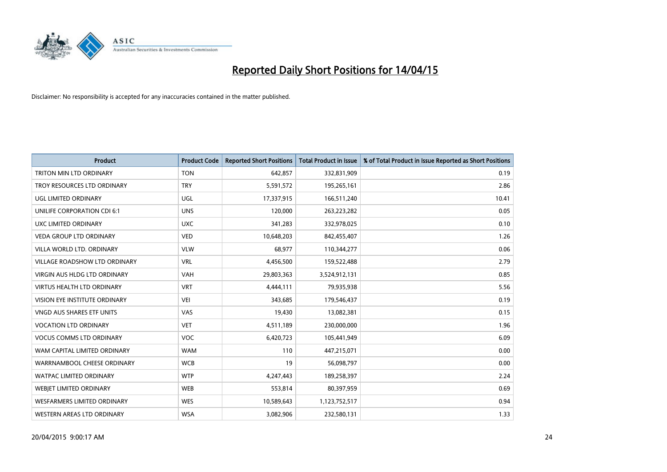

| <b>Product</b>                     | <b>Product Code</b> | <b>Reported Short Positions</b> | <b>Total Product in Issue</b> | % of Total Product in Issue Reported as Short Positions |
|------------------------------------|---------------------|---------------------------------|-------------------------------|---------------------------------------------------------|
| TRITON MIN LTD ORDINARY            | <b>TON</b>          | 642,857                         | 332,831,909                   | 0.19                                                    |
| TROY RESOURCES LTD ORDINARY        | <b>TRY</b>          | 5,591,572                       | 195,265,161                   | 2.86                                                    |
| UGL LIMITED ORDINARY               | UGL                 | 17,337,915                      | 166,511,240                   | 10.41                                                   |
| UNILIFE CORPORATION CDI 6:1        | <b>UNS</b>          | 120,000                         | 263,223,282                   | 0.05                                                    |
| UXC LIMITED ORDINARY               | <b>UXC</b>          | 341,283                         | 332,978,025                   | 0.10                                                    |
| <b>VEDA GROUP LTD ORDINARY</b>     | <b>VED</b>          | 10,648,203                      | 842,455,407                   | 1.26                                                    |
| VILLA WORLD LTD, ORDINARY          | <b>VLW</b>          | 68,977                          | 110,344,277                   | 0.06                                                    |
| VILLAGE ROADSHOW LTD ORDINARY      | <b>VRL</b>          | 4,456,500                       | 159,522,488                   | 2.79                                                    |
| VIRGIN AUS HLDG LTD ORDINARY       | <b>VAH</b>          | 29,803,363                      | 3,524,912,131                 | 0.85                                                    |
| <b>VIRTUS HEALTH LTD ORDINARY</b>  | <b>VRT</b>          | 4,444,111                       | 79,935,938                    | 5.56                                                    |
| VISION EYE INSTITUTE ORDINARY      | <b>VEI</b>          | 343,685                         | 179,546,437                   | 0.19                                                    |
| <b>VNGD AUS SHARES ETF UNITS</b>   | VAS                 | 19,430                          | 13,082,381                    | 0.15                                                    |
| <b>VOCATION LTD ORDINARY</b>       | <b>VET</b>          | 4,511,189                       | 230,000,000                   | 1.96                                                    |
| <b>VOCUS COMMS LTD ORDINARY</b>    | VOC                 | 6,420,723                       | 105,441,949                   | 6.09                                                    |
| WAM CAPITAL LIMITED ORDINARY       | <b>WAM</b>          | 110                             | 447,215,071                   | 0.00                                                    |
| WARRNAMBOOL CHEESE ORDINARY        | <b>WCB</b>          | 19                              | 56,098,797                    | 0.00                                                    |
| WATPAC LIMITED ORDINARY            | <b>WTP</b>          | 4,247,443                       | 189,258,397                   | 2.24                                                    |
| WEBJET LIMITED ORDINARY            | <b>WEB</b>          | 553,814                         | 80,397,959                    | 0.69                                                    |
| <b>WESFARMERS LIMITED ORDINARY</b> | <b>WES</b>          | 10,589,643                      | 1,123,752,517                 | 0.94                                                    |
| WESTERN AREAS LTD ORDINARY         | <b>WSA</b>          | 3,082,906                       | 232,580,131                   | 1.33                                                    |